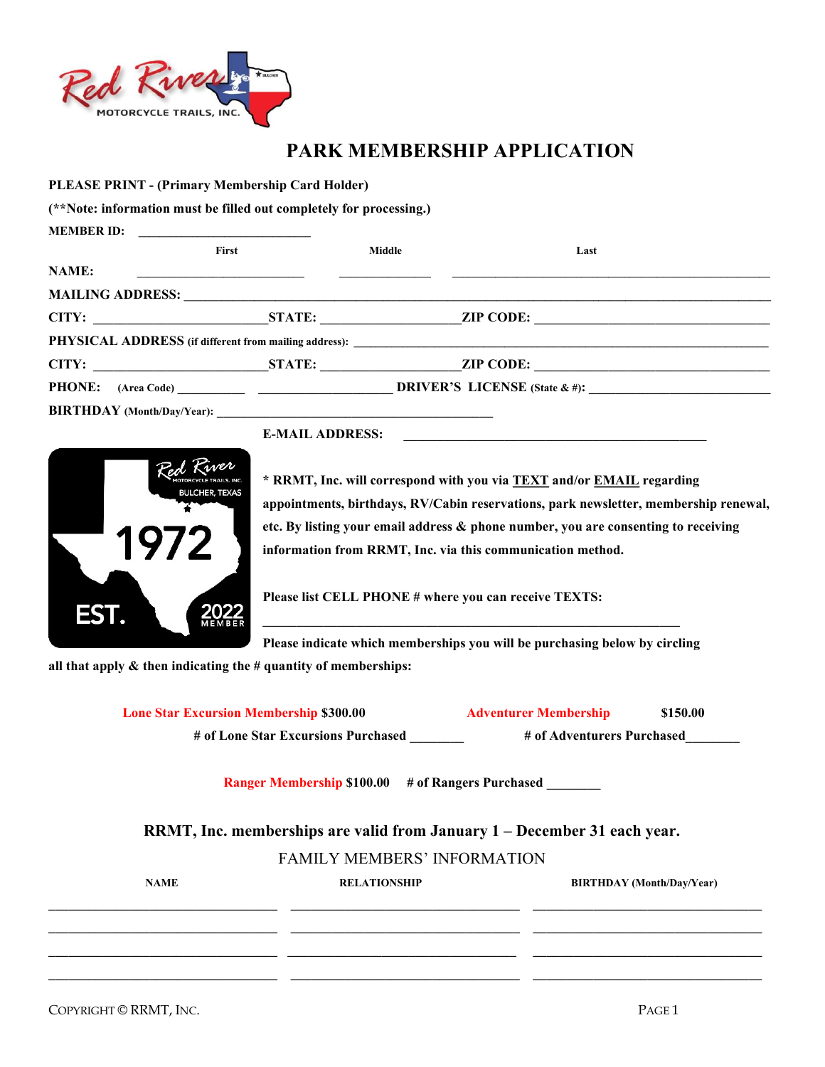

# PARK MEMBERSHIP APPLICATION

PLEASE PRINT - (Primary Membership Card Holder)

(\*\*Note: information must be filled out completely for processing.)

|                                   | First        | Middle | Last  |  |
|-----------------------------------|--------------|--------|-------|--|
|                                   |              |        | NAME: |  |
|                                   |              |        |       |  |
|                                   |              |        |       |  |
|                                   |              |        |       |  |
|                                   | CITY: STATE: |        |       |  |
|                                   |              |        |       |  |
| <b>BIRTHDAY</b> (Month/Day/Year): |              |        |       |  |



#### E-MAIL ADDRESS:

\* RRMT, Inc. will correspond with you via TEXT and/or EMAIL regarding appointments, birthdays, RV/Cabin reservations, park newsletter, membership renewal, etc. By listing your email address & phone number, you are consenting to receiving information from RRMT, Inc. via this communication method.

Please list CELL PHONE # where you can receive TEXTS:

Please indicate which memberships you will be purchasing below by circling

all that apply & then indicating the # quantity of memberships:

| <b>Lone Star Excursion Membership \$300.00</b> | <b>Adventurer Membership</b> | \$150.00 |
|------------------------------------------------|------------------------------|----------|
| # of Lone Star Excursions Purchased            | # of Adventurers Purchased   |          |

Ranger Membership \$100.00 # of Rangers Purchased \_\_\_\_\_\_\_

### RRMT, Inc. memberships are valid from January 1 – December 31 each year.

FAMILY MEMBERS' INFORMATION

 $\mathcal{L}_\text{max} = \frac{1}{2} \sum_{i=1}^n \mathcal{L}_\text{max} = \frac{1}{2} \sum_{i=1}^n \mathcal{L}_\text{max} = \frac{1}{2} \sum_{i=1}^n \mathcal{L}_\text{max} = \frac{1}{2} \sum_{i=1}^n \mathcal{L}_\text{max} = \frac{1}{2} \sum_{i=1}^n \mathcal{L}_\text{max} = \frac{1}{2} \sum_{i=1}^n \mathcal{L}_\text{max} = \frac{1}{2} \sum_{i=1}^n \mathcal{L}_\text{max} = \frac{1}{2} \sum_{i=$  $\_$  , and the state of the state of the state of the state of the state of the state of the state of the state of the state of the state of the state of the state of the state of the state of the state of the state of the  $\mathcal{L}_\text{max} = \frac{1}{2} \sum_{i=1}^n \mathcal{L}_\text{max} = \frac{1}{2} \sum_{i=1}^n \mathcal{L}_\text{max} = \frac{1}{2} \sum_{i=1}^n \mathcal{L}_\text{max} = \frac{1}{2} \sum_{i=1}^n \mathcal{L}_\text{max} = \frac{1}{2} \sum_{i=1}^n \mathcal{L}_\text{max} = \frac{1}{2} \sum_{i=1}^n \mathcal{L}_\text{max} = \frac{1}{2} \sum_{i=1}^n \mathcal{L}_\text{max} = \frac{1}{2} \sum_{i=$  $\mathcal{L}_\text{max} = \frac{1}{2} \sum_{i=1}^n \mathcal{L}_\text{max} = \frac{1}{2} \sum_{i=1}^n \mathcal{L}_\text{max} = \frac{1}{2} \sum_{i=1}^n \mathcal{L}_\text{max} = \frac{1}{2} \sum_{i=1}^n \mathcal{L}_\text{max} = \frac{1}{2} \sum_{i=1}^n \mathcal{L}_\text{max} = \frac{1}{2} \sum_{i=1}^n \mathcal{L}_\text{max} = \frac{1}{2} \sum_{i=1}^n \mathcal{L}_\text{max} = \frac{1}{2} \sum_{i=$ 

NAME RELATIONSHIP BIRTHDAY (Month/Day/Year)

COPYRIGHT © RRMT, INC. PAGE 1